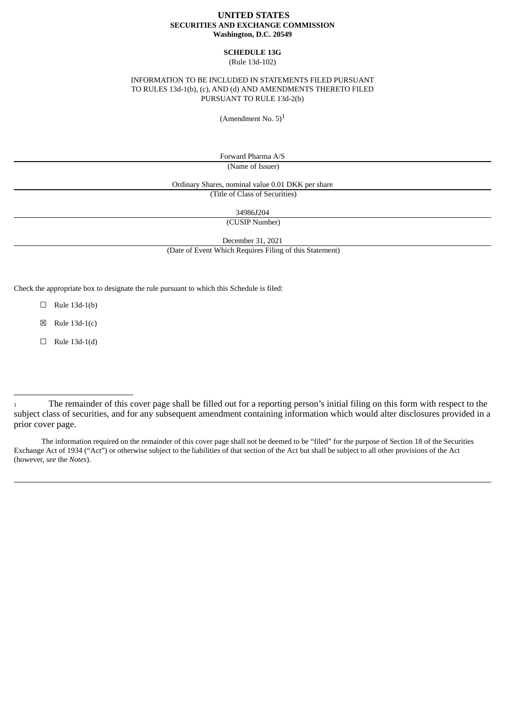## **UNITED STATES SECURITIES AND EXCHANGE COMMISSION Washington, D.C. 20549**

#### **SCHEDULE 13G** (Rule 13d-102)

## INFORMATION TO BE INCLUDED IN STATEMENTS FILED PURSUANT TO RULES 13d-1(b), (c), AND (d) AND AMENDMENTS THERETO FILED PURSUANT TO RULE 13d-2(b)

(Amendment No.  $5)^1$ 

Forward Pharma A/S (Name of Issuer)

Ordinary Shares, nominal value 0.01 DKK per share

(Title of Class of Securities)

34986J204

(CUSIP Number)

December 31, 2021

(Date of Event Which Requires Filing of this Statement)

Check the appropriate box to designate the rule pursuant to which this Schedule is filed:

 $\Box$  Rule 13d-1(b)

 $\boxtimes$  Rule 13d-1(c)

 $\Box$  Rule 13d-1(d)

The information required on the remainder of this cover page shall not be deemed to be "filed" for the purpose of Section 18 of the Securities Exchange Act of 1934 ("Act") or otherwise subject to the liabilities of that section of the Act but shall be subject to all other provisions of the Act (however, *see* the *Notes*).

<sup>1</sup> The remainder of this cover page shall be filled out for a reporting person's initial filing on this form with respect to the subject class of securities, and for any subsequent amendment containing information which would alter disclosures provided in a prior cover page.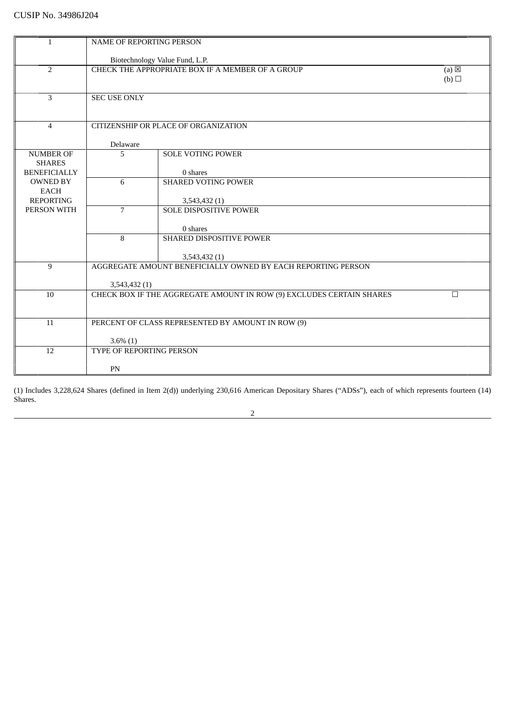| 1                                      | <b>NAME OF REPORTING PERSON</b> |                                                                      |                   |
|----------------------------------------|---------------------------------|----------------------------------------------------------------------|-------------------|
|                                        |                                 |                                                                      |                   |
|                                        |                                 | Biotechnology Value Fund, L.P.                                       |                   |
| $\overline{2}$                         |                                 | CHECK THE APPROPRIATE BOX IF A MEMBER OF A GROUP                     | $(a)$ $\boxtimes$ |
|                                        |                                 |                                                                      | (b)               |
| 3                                      | <b>SEC USE ONLY</b>             |                                                                      |                   |
|                                        |                                 |                                                                      |                   |
|                                        |                                 |                                                                      |                   |
| $\overline{4}$                         |                                 | CITIZENSHIP OR PLACE OF ORGANIZATION                                 |                   |
|                                        | Delaware                        |                                                                      |                   |
| <b>NUMBER OF</b>                       | 5                               | <b>SOLE VOTING POWER</b>                                             |                   |
| <b>SHARES</b>                          |                                 |                                                                      |                   |
| <b>BENEFICIALLY</b><br><b>OWNED BY</b> | 6                               | 0 shares<br><b>SHARED VOTING POWER</b>                               |                   |
| EACH                                   |                                 |                                                                      |                   |
| <b>REPORTING</b>                       |                                 | 3,543,432 (1)                                                        |                   |
| PERSON WITH                            | $\overline{7}$                  | <b>SOLE DISPOSITIVE POWER</b>                                        |                   |
|                                        |                                 |                                                                      |                   |
|                                        | 8                               | 0 shares<br>SHARED DISPOSITIVE POWER                                 |                   |
|                                        |                                 |                                                                      |                   |
|                                        |                                 | 3,543,432 (1)                                                        |                   |
| 9                                      |                                 | AGGREGATE AMOUNT BENEFICIALLY OWNED BY EACH REPORTING PERSON         |                   |
|                                        |                                 |                                                                      |                   |
| 10                                     | 3,543,432 (1)                   | CHECK BOX IF THE AGGREGATE AMOUNT IN ROW (9) EXCLUDES CERTAIN SHARES | $\Box$            |
|                                        |                                 |                                                                      |                   |
|                                        |                                 |                                                                      |                   |
| 11                                     |                                 | PERCENT OF CLASS REPRESENTED BY AMOUNT IN ROW (9)                    |                   |
|                                        | $3.6\%$ (1)                     |                                                                      |                   |
| 12                                     | <b>TYPE OF REPORTING PERSON</b> |                                                                      |                   |
|                                        |                                 |                                                                      |                   |
|                                        | PN                              |                                                                      |                   |

(1) Includes 3,228,624 Shares (defined in Item 2(d)) underlying 230,616 American Depositary Shares ("ADSs"), each of which represents fourteen (14) Shares.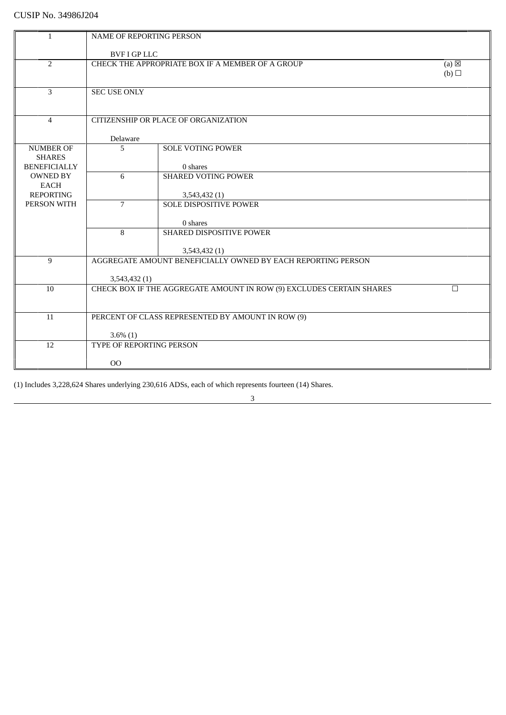| $\mathbf{1}$                   | <b>NAME OF REPORTING PERSON</b>                                     |                                                                      |        |
|--------------------------------|---------------------------------------------------------------------|----------------------------------------------------------------------|--------|
|                                |                                                                     |                                                                      |        |
|                                | <b>BVF I GP LLC</b>                                                 |                                                                      |        |
| $\overline{2}$                 | CHECK THE APPROPRIATE BOX IF A MEMBER OF A GROUP<br>$(a) \boxtimes$ |                                                                      |        |
|                                |                                                                     |                                                                      | (b)    |
|                                |                                                                     |                                                                      |        |
| $\overline{3}$                 | <b>SEC USE ONLY</b>                                                 |                                                                      |        |
|                                |                                                                     |                                                                      |        |
| $\overline{4}$                 |                                                                     | CITIZENSHIP OR PLACE OF ORGANIZATION                                 |        |
|                                |                                                                     |                                                                      |        |
|                                | Delaware                                                            |                                                                      |        |
| <b>NUMBER OF</b>               | 5                                                                   | <b>SOLE VOTING POWER</b>                                             |        |
| <b>SHARES</b>                  |                                                                     |                                                                      |        |
| <b>BENEFICIALLY</b>            |                                                                     | 0 shares                                                             |        |
| <b>OWNED BY</b><br><b>EACH</b> | 6                                                                   | <b>SHARED VOTING POWER</b>                                           |        |
| <b>REPORTING</b>               |                                                                     | 3,543,432 (1)                                                        |        |
| PERSON WITH                    | $\overline{7}$                                                      | <b>SOLE DISPOSITIVE POWER</b>                                        |        |
|                                |                                                                     |                                                                      |        |
|                                |                                                                     | 0 shares                                                             |        |
|                                | 8                                                                   | SHARED DISPOSITIVE POWER                                             |        |
|                                |                                                                     |                                                                      |        |
|                                |                                                                     | 3,543,432 (1)                                                        |        |
| 9                              |                                                                     | AGGREGATE AMOUNT BENEFICIALLY OWNED BY EACH REPORTING PERSON         |        |
|                                | 3,543,432 (1)                                                       |                                                                      |        |
| 10                             |                                                                     | CHECK BOX IF THE AGGREGATE AMOUNT IN ROW (9) EXCLUDES CERTAIN SHARES | $\Box$ |
|                                |                                                                     |                                                                      |        |
|                                |                                                                     |                                                                      |        |
| 11                             |                                                                     | PERCENT OF CLASS REPRESENTED BY AMOUNT IN ROW (9)                    |        |
|                                |                                                                     |                                                                      |        |
|                                | $3.6\%$ (1)                                                         |                                                                      |        |
| 12                             | TYPE OF REPORTING PERSON                                            |                                                                      |        |
|                                | O <sub>O</sub>                                                      |                                                                      |        |
|                                |                                                                     |                                                                      |        |

(1) Includes 3,228,624 Shares underlying 230,616 ADSs, each of which represents fourteen (14) Shares.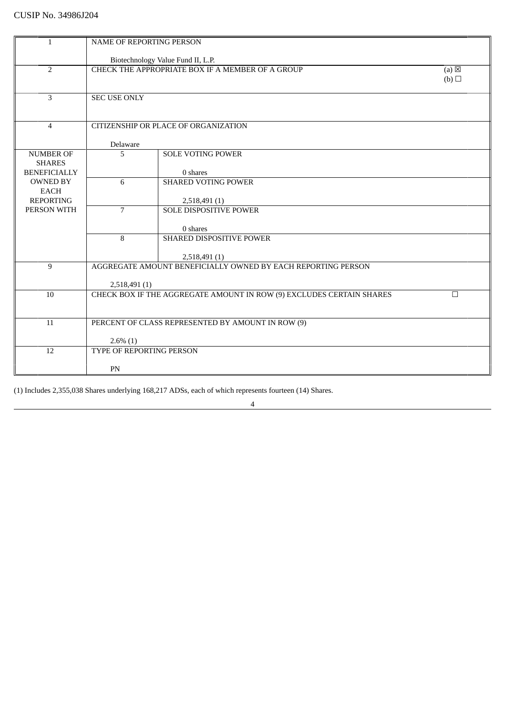| $\mathbf{1}$                    | <b>NAME OF REPORTING PERSON</b> |                                                                               |                 |
|---------------------------------|---------------------------------|-------------------------------------------------------------------------------|-----------------|
|                                 |                                 |                                                                               |                 |
|                                 |                                 | Biotechnology Value Fund II, L.P.                                             |                 |
| $\overline{2}$                  |                                 | CHECK THE APPROPRIATE BOX IF A MEMBER OF A GROUP                              | $(a) \boxtimes$ |
|                                 |                                 |                                                                               | (b)             |
| $\overline{3}$                  | <b>SEC USE ONLY</b>             |                                                                               |                 |
|                                 |                                 |                                                                               |                 |
|                                 |                                 |                                                                               |                 |
| $\overline{4}$                  |                                 | CITIZENSHIP OR PLACE OF ORGANIZATION                                          |                 |
|                                 |                                 |                                                                               |                 |
| <b>NUMBER OF</b>                | Delaware<br>5                   | <b>SOLE VOTING POWER</b>                                                      |                 |
| <b>SHARES</b>                   |                                 |                                                                               |                 |
| <b>BENEFICIALLY</b>             |                                 | 0 shares                                                                      |                 |
| <b>OWNED BY</b>                 | 6                               | <b>SHARED VOTING POWER</b>                                                    |                 |
| <b>EACH</b>                     |                                 |                                                                               |                 |
| <b>REPORTING</b><br>PERSON WITH | $\overline{7}$                  | 2,518,491 (1)<br><b>SOLE DISPOSITIVE POWER</b>                                |                 |
|                                 |                                 |                                                                               |                 |
|                                 |                                 | 0 shares                                                                      |                 |
|                                 | 8                               | SHARED DISPOSITIVE POWER                                                      |                 |
|                                 |                                 |                                                                               |                 |
| 9                               |                                 | 2,518,491 (1)<br>AGGREGATE AMOUNT BENEFICIALLY OWNED BY EACH REPORTING PERSON |                 |
|                                 |                                 |                                                                               |                 |
|                                 | 2,518,491(1)                    |                                                                               |                 |
| 10                              |                                 | CHECK BOX IF THE AGGREGATE AMOUNT IN ROW (9) EXCLUDES CERTAIN SHARES          | $\Box$          |
|                                 |                                 |                                                                               |                 |
| 11                              |                                 |                                                                               |                 |
|                                 |                                 | PERCENT OF CLASS REPRESENTED BY AMOUNT IN ROW (9)                             |                 |
|                                 | $2.6\%$ (1)                     |                                                                               |                 |
| 12                              | TYPE OF REPORTING PERSON        |                                                                               |                 |
|                                 |                                 |                                                                               |                 |
|                                 | PN                              |                                                                               |                 |

(1) Includes 2,355,038 Shares underlying 168,217 ADSs, each of which represents fourteen (14) Shares.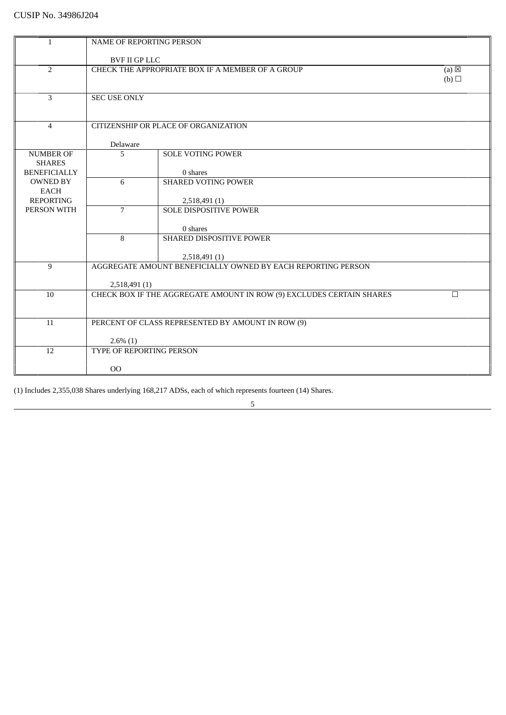| $\mathbf{1}$        | <b>NAME OF REPORTING PERSON</b> |                                                                      |                 |
|---------------------|---------------------------------|----------------------------------------------------------------------|-----------------|
|                     |                                 |                                                                      |                 |
|                     | <b>BVF II GP LLC</b>            |                                                                      |                 |
| $\overline{2}$      |                                 | CHECK THE APPROPRIATE BOX IF A MEMBER OF A GROUP                     | $(a) \boxtimes$ |
|                     |                                 |                                                                      | (b)             |
|                     |                                 |                                                                      |                 |
| 3                   | <b>SEC USE ONLY</b>             |                                                                      |                 |
|                     |                                 |                                                                      |                 |
|                     |                                 |                                                                      |                 |
| $\overline{4}$      |                                 | CITIZENSHIP OR PLACE OF ORGANIZATION                                 |                 |
|                     |                                 |                                                                      |                 |
|                     | Delaware                        |                                                                      |                 |
| <b>NUMBER OF</b>    | 5                               | <b>SOLE VOTING POWER</b>                                             |                 |
| <b>SHARES</b>       |                                 |                                                                      |                 |
| <b>BENEFICIALLY</b> |                                 | 0 shares                                                             |                 |
| <b>OWNED BY</b>     | 6                               | <b>SHARED VOTING POWER</b>                                           |                 |
| <b>EACH</b>         |                                 |                                                                      |                 |
| <b>REPORTING</b>    |                                 | 2,518,491 (1)                                                        |                 |
| PERSON WITH         | $\overline{7}$                  | <b>SOLE DISPOSITIVE POWER</b>                                        |                 |
|                     |                                 |                                                                      |                 |
|                     |                                 | 0 shares                                                             |                 |
|                     | 8                               | SHARED DISPOSITIVE POWER                                             |                 |
|                     |                                 |                                                                      |                 |
|                     |                                 | 2,518,491 (1)                                                        |                 |
| 9                   |                                 | AGGREGATE AMOUNT BENEFICIALLY OWNED BY EACH REPORTING PERSON         |                 |
|                     |                                 |                                                                      |                 |
|                     | 2,518,491 (1)                   |                                                                      |                 |
| 10                  |                                 | CHECK BOX IF THE AGGREGATE AMOUNT IN ROW (9) EXCLUDES CERTAIN SHARES | П               |
|                     |                                 |                                                                      |                 |
|                     |                                 |                                                                      |                 |
| 11                  |                                 | PERCENT OF CLASS REPRESENTED BY AMOUNT IN ROW (9)                    |                 |
|                     |                                 |                                                                      |                 |
|                     | $2.6\%$ (1)                     |                                                                      |                 |
| 12                  | TYPE OF REPORTING PERSON        |                                                                      |                 |
|                     |                                 |                                                                      |                 |
|                     | 00                              |                                                                      |                 |
|                     |                                 |                                                                      |                 |

(1) Includes 2,355,038 Shares underlying 168,217 ADSs, each of which represents fourteen (14) Shares.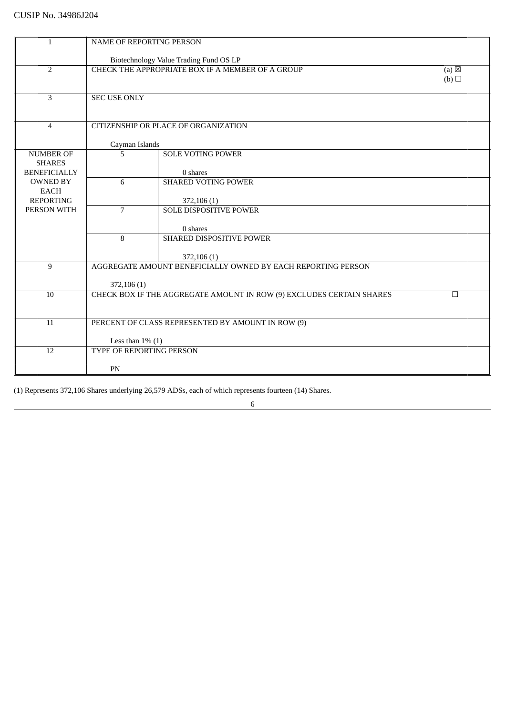| 1                   | NAME OF REPORTING PERSON |                                                                      |                 |
|---------------------|--------------------------|----------------------------------------------------------------------|-----------------|
|                     |                          |                                                                      |                 |
|                     |                          | Biotechnology Value Trading Fund OS LP                               |                 |
| 2                   |                          | CHECK THE APPROPRIATE BOX IF A MEMBER OF A GROUP                     | $(a) \boxtimes$ |
|                     |                          |                                                                      | (b)             |
|                     |                          |                                                                      |                 |
| 3                   | <b>SEC USE ONLY</b>      |                                                                      |                 |
|                     |                          |                                                                      |                 |
| $\overline{4}$      |                          | CITIZENSHIP OR PLACE OF ORGANIZATION                                 |                 |
|                     |                          |                                                                      |                 |
|                     | Cayman Islands           |                                                                      |                 |
| <b>NUMBER OF</b>    | 5                        | <b>SOLE VOTING POWER</b>                                             |                 |
| <b>SHARES</b>       |                          |                                                                      |                 |
| <b>BENEFICIALLY</b> |                          | 0 shares                                                             |                 |
| <b>OWNED BY</b>     | 6                        | <b>SHARED VOTING POWER</b>                                           |                 |
| <b>EACH</b>         |                          |                                                                      |                 |
| <b>REPORTING</b>    |                          | 372,106 (1)                                                          |                 |
| PERSON WITH         | $\overline{7}$           | <b>SOLE DISPOSITIVE POWER</b>                                        |                 |
|                     |                          |                                                                      |                 |
|                     |                          | 0 shares                                                             |                 |
|                     | 8                        | SHARED DISPOSITIVE POWER                                             |                 |
|                     |                          |                                                                      |                 |
|                     |                          | 372,106 (1)                                                          |                 |
| 9                   |                          | AGGREGATE AMOUNT BENEFICIALLY OWNED BY EACH REPORTING PERSON         |                 |
|                     |                          |                                                                      |                 |
|                     | 372,106 (1)              |                                                                      |                 |
| 10                  |                          | CHECK BOX IF THE AGGREGATE AMOUNT IN ROW (9) EXCLUDES CERTAIN SHARES | П               |
|                     |                          |                                                                      |                 |
| 11                  |                          | PERCENT OF CLASS REPRESENTED BY AMOUNT IN ROW (9)                    |                 |
|                     |                          |                                                                      |                 |
|                     | Less than $1\%$ (1)      |                                                                      |                 |
| 12                  | TYPE OF REPORTING PERSON |                                                                      |                 |
|                     |                          |                                                                      |                 |
|                     | PN                       |                                                                      |                 |
|                     |                          |                                                                      |                 |

(1) Represents 372,106 Shares underlying 26,579 ADSs, each of which represents fourteen (14) Shares.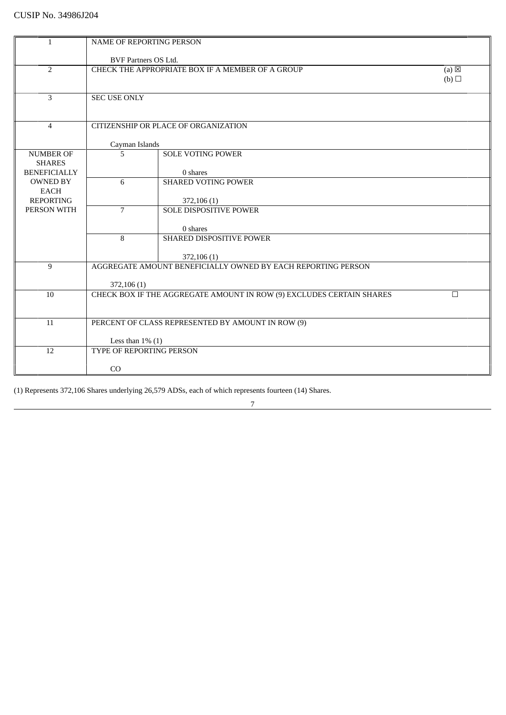| 1                   | NAME OF REPORTING PERSON    |                                                                             |                 |
|---------------------|-----------------------------|-----------------------------------------------------------------------------|-----------------|
|                     |                             |                                                                             |                 |
|                     | <b>BVF Partners OS Ltd.</b> |                                                                             |                 |
| $\overline{2}$      |                             | CHECK THE APPROPRIATE BOX IF A MEMBER OF A GROUP                            | $(a) \boxtimes$ |
|                     |                             |                                                                             | (b)             |
|                     |                             |                                                                             |                 |
| 3                   | <b>SEC USE ONLY</b>         |                                                                             |                 |
|                     |                             |                                                                             |                 |
| $\overline{4}$      |                             | CITIZENSHIP OR PLACE OF ORGANIZATION                                        |                 |
|                     |                             |                                                                             |                 |
|                     | Cayman Islands              |                                                                             |                 |
| <b>NUMBER OF</b>    | 5                           | <b>SOLE VOTING POWER</b>                                                    |                 |
| <b>SHARES</b>       |                             |                                                                             |                 |
| <b>BENEFICIALLY</b> |                             | 0 shares                                                                    |                 |
| <b>OWNED BY</b>     | 6                           | <b>SHARED VOTING POWER</b>                                                  |                 |
| <b>EACH</b>         |                             |                                                                             |                 |
| <b>REPORTING</b>    |                             | 372,106 (1)                                                                 |                 |
| PERSON WITH         | $\overline{7}$              | <b>SOLE DISPOSITIVE POWER</b>                                               |                 |
|                     |                             |                                                                             |                 |
|                     |                             | 0 shares                                                                    |                 |
|                     | 8                           | SHARED DISPOSITIVE POWER                                                    |                 |
|                     |                             |                                                                             |                 |
|                     |                             | 372,106 (1)<br>AGGREGATE AMOUNT BENEFICIALLY OWNED BY EACH REPORTING PERSON |                 |
| 9                   |                             |                                                                             |                 |
|                     | 372,106 (1)                 |                                                                             |                 |
| 10                  |                             | CHECK BOX IF THE AGGREGATE AMOUNT IN ROW (9) EXCLUDES CERTAIN SHARES        | п               |
|                     |                             |                                                                             |                 |
|                     |                             |                                                                             |                 |
| 11                  |                             | PERCENT OF CLASS REPRESENTED BY AMOUNT IN ROW (9)                           |                 |
|                     |                             |                                                                             |                 |
|                     | Less than $1\%$ (1)         |                                                                             |                 |
| 12                  | TYPE OF REPORTING PERSON    |                                                                             |                 |
|                     |                             |                                                                             |                 |
|                     | CO                          |                                                                             |                 |

(1) Represents 372,106 Shares underlying 26,579 ADSs, each of which represents fourteen (14) Shares.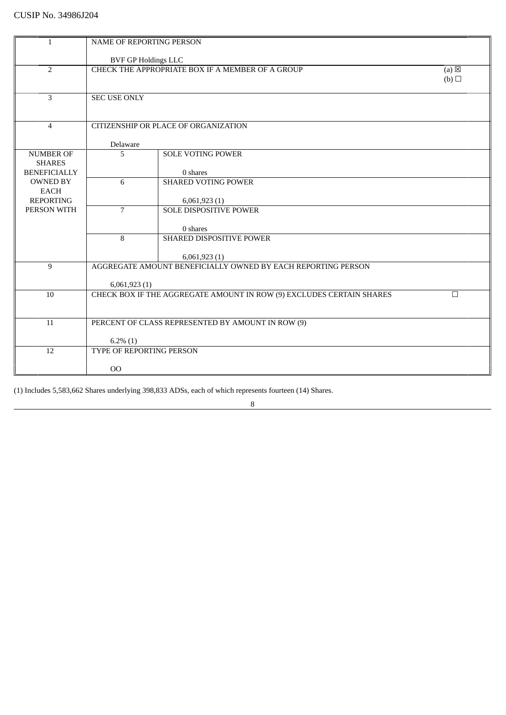| $\mathbf{1}$                   | <b>NAME OF REPORTING PERSON</b> |                                                                      |                            |
|--------------------------------|---------------------------------|----------------------------------------------------------------------|----------------------------|
|                                |                                 |                                                                      |                            |
|                                | <b>BVF GP Holdings LLC</b>      |                                                                      |                            |
| $\overline{2}$                 |                                 | CHECK THE APPROPRIATE BOX IF A MEMBER OF A GROUP                     | (a) $\overline{\boxtimes}$ |
|                                |                                 |                                                                      | (b)                        |
| $\overline{3}$                 | <b>SEC USE ONLY</b>             |                                                                      |                            |
|                                |                                 |                                                                      |                            |
|                                |                                 |                                                                      |                            |
| $\overline{4}$                 |                                 | CITIZENSHIP OR PLACE OF ORGANIZATION                                 |                            |
|                                | Delaware                        |                                                                      |                            |
| <b>NUMBER OF</b>               | $\overline{5}$                  | <b>SOLE VOTING POWER</b>                                             |                            |
| <b>SHARES</b>                  |                                 |                                                                      |                            |
| <b>BENEFICIALLY</b>            |                                 | 0 shares                                                             |                            |
| <b>OWNED BY</b><br><b>EACH</b> | 6                               | <b>SHARED VOTING POWER</b>                                           |                            |
| <b>REPORTING</b>               |                                 | 6,061,923(1)                                                         |                            |
| PERSON WITH                    | $\overline{7}$                  | <b>SOLE DISPOSITIVE POWER</b>                                        |                            |
|                                |                                 |                                                                      |                            |
|                                | 8                               | 0 shares<br><b>SHARED DISPOSITIVE POWER</b>                          |                            |
|                                |                                 |                                                                      |                            |
|                                |                                 | 6,061,923(1)                                                         |                            |
| 9                              |                                 | AGGREGATE AMOUNT BENEFICIALLY OWNED BY EACH REPORTING PERSON         |                            |
|                                |                                 |                                                                      |                            |
| 10                             | 6,061,923(1)                    | CHECK BOX IF THE AGGREGATE AMOUNT IN ROW (9) EXCLUDES CERTAIN SHARES | $\Box$                     |
|                                |                                 |                                                                      |                            |
|                                |                                 |                                                                      |                            |
| 11                             |                                 | PERCENT OF CLASS REPRESENTED BY AMOUNT IN ROW (9)                    |                            |
|                                | $6.2\%$ (1)                     |                                                                      |                            |
| 12                             | TYPE OF REPORTING PERSON        |                                                                      |                            |
|                                |                                 |                                                                      |                            |
|                                | 00                              |                                                                      |                            |

(1) Includes 5,583,662 Shares underlying 398,833 ADSs, each of which represents fourteen (14) Shares.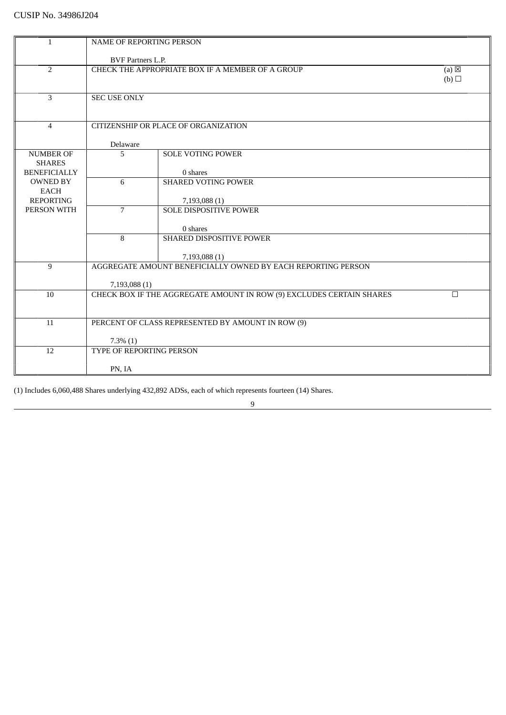| NAME OF REPORTING PERSON<br><b>BVF Partners L.P.</b><br>$\overline{2}$<br>CHECK THE APPROPRIATE BOX IF A MEMBER OF A GROUP<br>$(a) \boxtimes$<br>(b)<br>$\overline{3}$<br><b>SEC USE ONLY</b><br>CITIZENSHIP OR PLACE OF ORGANIZATION<br>$\overline{4}$<br>Delaware<br><b>NUMBER OF</b><br><b>SOLE VOTING POWER</b><br>5<br><b>SHARES</b><br><b>BENEFICIALLY</b><br>0 shares<br><b>OWNED BY</b><br>6<br><b>SHARED VOTING POWER</b><br><b>EACH</b><br><b>REPORTING</b><br>7,193,088 (1)<br>$\overline{7}$<br>PERSON WITH<br><b>SOLE DISPOSITIVE POWER</b><br>0 shares<br>8<br>SHARED DISPOSITIVE POWER<br>7,193,088 (1)<br>AGGREGATE AMOUNT BENEFICIALLY OWNED BY EACH REPORTING PERSON<br>9<br>7,193,088 (1)<br>CHECK BOX IF THE AGGREGATE AMOUNT IN ROW (9) EXCLUDES CERTAIN SHARES<br>10<br>$\Box$<br>PERCENT OF CLASS REPRESENTED BY AMOUNT IN ROW (9)<br>11<br>$7.3\%$ $(1)$<br>TYPE OF REPORTING PERSON<br>12<br>PN, IA |   |  |  |  |
|------------------------------------------------------------------------------------------------------------------------------------------------------------------------------------------------------------------------------------------------------------------------------------------------------------------------------------------------------------------------------------------------------------------------------------------------------------------------------------------------------------------------------------------------------------------------------------------------------------------------------------------------------------------------------------------------------------------------------------------------------------------------------------------------------------------------------------------------------------------------------------------------------------------------------|---|--|--|--|
|                                                                                                                                                                                                                                                                                                                                                                                                                                                                                                                                                                                                                                                                                                                                                                                                                                                                                                                              | 1 |  |  |  |
|                                                                                                                                                                                                                                                                                                                                                                                                                                                                                                                                                                                                                                                                                                                                                                                                                                                                                                                              |   |  |  |  |
|                                                                                                                                                                                                                                                                                                                                                                                                                                                                                                                                                                                                                                                                                                                                                                                                                                                                                                                              |   |  |  |  |
|                                                                                                                                                                                                                                                                                                                                                                                                                                                                                                                                                                                                                                                                                                                                                                                                                                                                                                                              |   |  |  |  |
|                                                                                                                                                                                                                                                                                                                                                                                                                                                                                                                                                                                                                                                                                                                                                                                                                                                                                                                              |   |  |  |  |
|                                                                                                                                                                                                                                                                                                                                                                                                                                                                                                                                                                                                                                                                                                                                                                                                                                                                                                                              |   |  |  |  |
|                                                                                                                                                                                                                                                                                                                                                                                                                                                                                                                                                                                                                                                                                                                                                                                                                                                                                                                              |   |  |  |  |
|                                                                                                                                                                                                                                                                                                                                                                                                                                                                                                                                                                                                                                                                                                                                                                                                                                                                                                                              |   |  |  |  |
|                                                                                                                                                                                                                                                                                                                                                                                                                                                                                                                                                                                                                                                                                                                                                                                                                                                                                                                              |   |  |  |  |
|                                                                                                                                                                                                                                                                                                                                                                                                                                                                                                                                                                                                                                                                                                                                                                                                                                                                                                                              |   |  |  |  |
|                                                                                                                                                                                                                                                                                                                                                                                                                                                                                                                                                                                                                                                                                                                                                                                                                                                                                                                              |   |  |  |  |
|                                                                                                                                                                                                                                                                                                                                                                                                                                                                                                                                                                                                                                                                                                                                                                                                                                                                                                                              |   |  |  |  |
|                                                                                                                                                                                                                                                                                                                                                                                                                                                                                                                                                                                                                                                                                                                                                                                                                                                                                                                              |   |  |  |  |
|                                                                                                                                                                                                                                                                                                                                                                                                                                                                                                                                                                                                                                                                                                                                                                                                                                                                                                                              |   |  |  |  |
|                                                                                                                                                                                                                                                                                                                                                                                                                                                                                                                                                                                                                                                                                                                                                                                                                                                                                                                              |   |  |  |  |
|                                                                                                                                                                                                                                                                                                                                                                                                                                                                                                                                                                                                                                                                                                                                                                                                                                                                                                                              |   |  |  |  |
|                                                                                                                                                                                                                                                                                                                                                                                                                                                                                                                                                                                                                                                                                                                                                                                                                                                                                                                              |   |  |  |  |
|                                                                                                                                                                                                                                                                                                                                                                                                                                                                                                                                                                                                                                                                                                                                                                                                                                                                                                                              |   |  |  |  |
|                                                                                                                                                                                                                                                                                                                                                                                                                                                                                                                                                                                                                                                                                                                                                                                                                                                                                                                              |   |  |  |  |
|                                                                                                                                                                                                                                                                                                                                                                                                                                                                                                                                                                                                                                                                                                                                                                                                                                                                                                                              |   |  |  |  |
|                                                                                                                                                                                                                                                                                                                                                                                                                                                                                                                                                                                                                                                                                                                                                                                                                                                                                                                              |   |  |  |  |
|                                                                                                                                                                                                                                                                                                                                                                                                                                                                                                                                                                                                                                                                                                                                                                                                                                                                                                                              |   |  |  |  |
|                                                                                                                                                                                                                                                                                                                                                                                                                                                                                                                                                                                                                                                                                                                                                                                                                                                                                                                              |   |  |  |  |
|                                                                                                                                                                                                                                                                                                                                                                                                                                                                                                                                                                                                                                                                                                                                                                                                                                                                                                                              |   |  |  |  |
|                                                                                                                                                                                                                                                                                                                                                                                                                                                                                                                                                                                                                                                                                                                                                                                                                                                                                                                              |   |  |  |  |
|                                                                                                                                                                                                                                                                                                                                                                                                                                                                                                                                                                                                                                                                                                                                                                                                                                                                                                                              |   |  |  |  |
|                                                                                                                                                                                                                                                                                                                                                                                                                                                                                                                                                                                                                                                                                                                                                                                                                                                                                                                              |   |  |  |  |
|                                                                                                                                                                                                                                                                                                                                                                                                                                                                                                                                                                                                                                                                                                                                                                                                                                                                                                                              |   |  |  |  |
|                                                                                                                                                                                                                                                                                                                                                                                                                                                                                                                                                                                                                                                                                                                                                                                                                                                                                                                              |   |  |  |  |
|                                                                                                                                                                                                                                                                                                                                                                                                                                                                                                                                                                                                                                                                                                                                                                                                                                                                                                                              |   |  |  |  |
|                                                                                                                                                                                                                                                                                                                                                                                                                                                                                                                                                                                                                                                                                                                                                                                                                                                                                                                              |   |  |  |  |
|                                                                                                                                                                                                                                                                                                                                                                                                                                                                                                                                                                                                                                                                                                                                                                                                                                                                                                                              |   |  |  |  |
|                                                                                                                                                                                                                                                                                                                                                                                                                                                                                                                                                                                                                                                                                                                                                                                                                                                                                                                              |   |  |  |  |
|                                                                                                                                                                                                                                                                                                                                                                                                                                                                                                                                                                                                                                                                                                                                                                                                                                                                                                                              |   |  |  |  |

(1) Includes 6,060,488 Shares underlying 432,892 ADSs, each of which represents fourteen (14) Shares.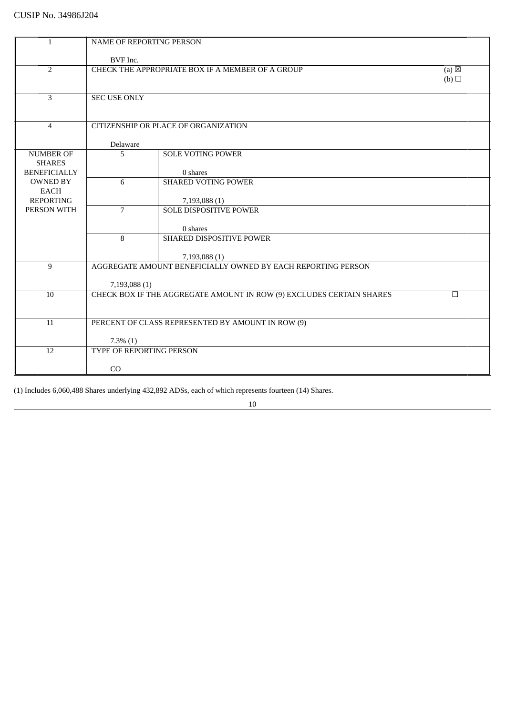| 1                               |                                           | NAME OF REPORTING PERSON                                             |                            |  |
|---------------------------------|-------------------------------------------|----------------------------------------------------------------------|----------------------------|--|
|                                 | BVF Inc.                                  |                                                                      |                            |  |
| 2                               |                                           | CHECK THE APPROPRIATE BOX IF A MEMBER OF A GROUP                     | (a) $\overline{\boxtimes}$ |  |
|                                 |                                           |                                                                      | (b)                        |  |
|                                 |                                           |                                                                      |                            |  |
| 3                               | <b>SEC USE ONLY</b>                       |                                                                      |                            |  |
|                                 |                                           |                                                                      |                            |  |
|                                 |                                           |                                                                      |                            |  |
| $\overline{4}$                  |                                           | CITIZENSHIP OR PLACE OF ORGANIZATION                                 |                            |  |
|                                 |                                           |                                                                      |                            |  |
|                                 | Delaware                                  |                                                                      |                            |  |
| <b>NUMBER OF</b>                | 5                                         | <b>SOLE VOTING POWER</b>                                             |                            |  |
| <b>SHARES</b>                   |                                           |                                                                      |                            |  |
| <b>BENEFICIALLY</b>             |                                           | 0 shares                                                             |                            |  |
| <b>OWNED BY</b>                 | 6                                         | <b>SHARED VOTING POWER</b>                                           |                            |  |
| <b>EACH</b>                     |                                           |                                                                      |                            |  |
| <b>REPORTING</b><br>PERSON WITH | $\overline{7}$                            | 7,193,088 (1)<br><b>SOLE DISPOSITIVE POWER</b>                       |                            |  |
|                                 |                                           |                                                                      |                            |  |
|                                 |                                           | 0 shares                                                             |                            |  |
|                                 | 8                                         | SHARED DISPOSITIVE POWER                                             |                            |  |
|                                 |                                           |                                                                      |                            |  |
|                                 |                                           | 7,193,088 (1)                                                        |                            |  |
| 9                               |                                           | AGGREGATE AMOUNT BENEFICIALLY OWNED BY EACH REPORTING PERSON         |                            |  |
|                                 |                                           |                                                                      |                            |  |
|                                 | 7,193,088 (1)                             |                                                                      |                            |  |
| 10                              |                                           | CHECK BOX IF THE AGGREGATE AMOUNT IN ROW (9) EXCLUDES CERTAIN SHARES | П                          |  |
|                                 |                                           |                                                                      |                            |  |
|                                 |                                           |                                                                      |                            |  |
| 11                              |                                           | PERCENT OF CLASS REPRESENTED BY AMOUNT IN ROW (9)                    |                            |  |
|                                 |                                           |                                                                      |                            |  |
| 12                              | $7.3\%$ $(1)$<br>TYPE OF REPORTING PERSON |                                                                      |                            |  |
|                                 |                                           |                                                                      |                            |  |
|                                 | CO                                        |                                                                      |                            |  |
|                                 |                                           |                                                                      |                            |  |

(1) Includes 6,060,488 Shares underlying 432,892 ADSs, each of which represents fourteen (14) Shares.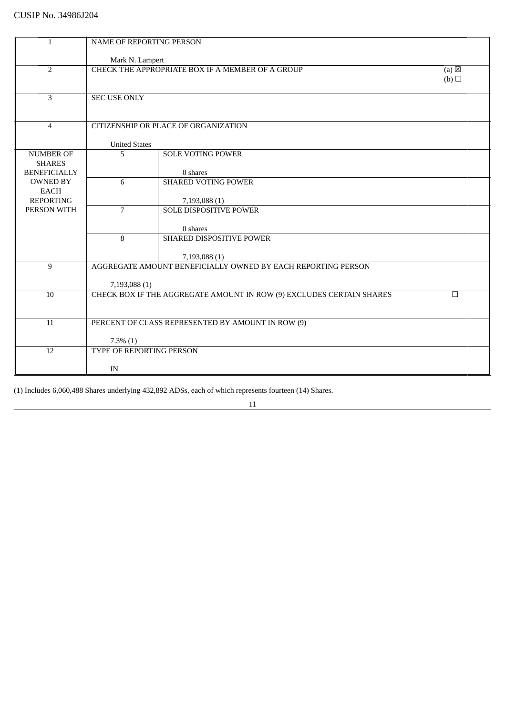| $\mathbf{1}$                         | <b>NAME OF REPORTING PERSON</b> |                                                                      |                 |
|--------------------------------------|---------------------------------|----------------------------------------------------------------------|-----------------|
|                                      |                                 |                                                                      |                 |
|                                      | Mark N. Lampert                 |                                                                      |                 |
| $\overline{2}$                       |                                 | CHECK THE APPROPRIATE BOX IF A MEMBER OF A GROUP                     | $(a) \boxtimes$ |
|                                      |                                 |                                                                      | (b)             |
|                                      |                                 |                                                                      |                 |
| 3                                    | <b>SEC USE ONLY</b>             |                                                                      |                 |
|                                      |                                 |                                                                      |                 |
|                                      |                                 |                                                                      |                 |
| $\overline{4}$                       |                                 | CITIZENSHIP OR PLACE OF ORGANIZATION                                 |                 |
|                                      |                                 |                                                                      |                 |
| <b>NUMBER OF</b>                     | <b>United States</b>            |                                                                      |                 |
|                                      | 5                               | <b>SOLE VOTING POWER</b>                                             |                 |
| <b>SHARES</b><br><b>BENEFICIALLY</b> |                                 | 0 shares                                                             |                 |
| <b>OWNED BY</b>                      | 6                               | <b>SHARED VOTING POWER</b>                                           |                 |
| <b>EACH</b>                          |                                 |                                                                      |                 |
| <b>REPORTING</b>                     |                                 | 7,193,088 (1)                                                        |                 |
| PERSON WITH                          | $\overline{7}$                  | <b>SOLE DISPOSITIVE POWER</b>                                        |                 |
|                                      |                                 |                                                                      |                 |
|                                      |                                 | 0 shares                                                             |                 |
|                                      | 8                               | SHARED DISPOSITIVE POWER                                             |                 |
|                                      |                                 |                                                                      |                 |
|                                      |                                 | 7,193,088 (1)                                                        |                 |
| 9                                    |                                 | AGGREGATE AMOUNT BENEFICIALLY OWNED BY EACH REPORTING PERSON         |                 |
|                                      |                                 |                                                                      |                 |
|                                      | 7,193,088 (1)                   |                                                                      |                 |
| 10                                   |                                 | CHECK BOX IF THE AGGREGATE AMOUNT IN ROW (9) EXCLUDES CERTAIN SHARES | П               |
|                                      |                                 |                                                                      |                 |
|                                      |                                 |                                                                      |                 |
| 11                                   |                                 | PERCENT OF CLASS REPRESENTED BY AMOUNT IN ROW (9)                    |                 |
|                                      |                                 |                                                                      |                 |
|                                      | $7.3\%$ $(1)$                   |                                                                      |                 |
| 12                                   | TYPE OF REPORTING PERSON        |                                                                      |                 |
|                                      |                                 |                                                                      |                 |
|                                      | IN                              |                                                                      |                 |

(1) Includes 6,060,488 Shares underlying 432,892 ADSs, each of which represents fourteen (14) Shares.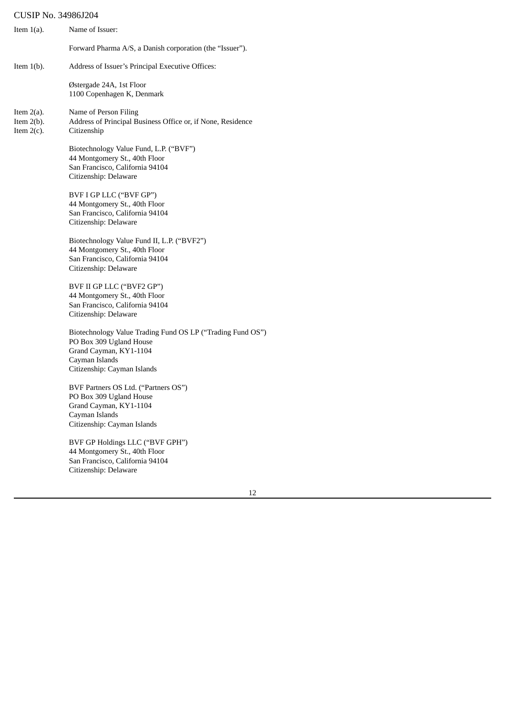| Item $1(a)$ .                                   | Name of Issuer:                                                                                                                                                  |
|-------------------------------------------------|------------------------------------------------------------------------------------------------------------------------------------------------------------------|
|                                                 | Forward Pharma A/S, a Danish corporation (the "Issuer").                                                                                                         |
| Item $1(b)$ .                                   | Address of Issuer's Principal Executive Offices:                                                                                                                 |
|                                                 | Østergade 24A, 1st Floor<br>1100 Copenhagen K, Denmark                                                                                                           |
| Item $2(a)$ .<br>Item $2(b)$ .<br>Item $2(c)$ . | Name of Person Filing<br>Address of Principal Business Office or, if None, Residence<br>Citizenship                                                              |
|                                                 | Biotechnology Value Fund, L.P. ("BVF")<br>44 Montgomery St., 40th Floor<br>San Francisco, California 94104<br>Citizenship: Delaware                              |
|                                                 | BVF I GP LLC ("BVF GP")<br>44 Montgomery St., 40th Floor<br>San Francisco, California 94104<br>Citizenship: Delaware                                             |
|                                                 | Biotechnology Value Fund II, L.P. ("BVF2")<br>44 Montgomery St., 40th Floor<br>San Francisco, California 94104<br>Citizenship: Delaware                          |
|                                                 | BVF II GP LLC ("BVF2 GP")<br>44 Montgomery St., 40th Floor<br>San Francisco, California 94104<br>Citizenship: Delaware                                           |
|                                                 | Biotechnology Value Trading Fund OS LP ("Trading Fund OS")<br>PO Box 309 Ugland House<br>Grand Cayman, KY1-1104<br>Cayman Islands<br>Citizenship: Cayman Islands |
|                                                 | BVF Partners OS Ltd. ("Partners OS")<br>PO Box 309 Ugland House<br>Grand Cayman, KY1-1104<br>Cayman Islands<br>Citizenship: Cayman Islands                       |
|                                                 | BVF GP Holdings LLC ("BVF GPH")<br>44 Montgomery St., 40th Floor                                                                                                 |

San Francisco, California 94104

Citizenship: Delaware

12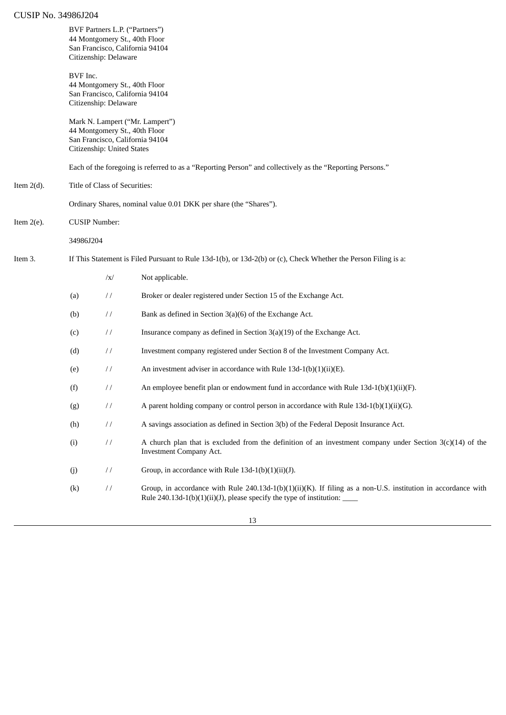|               |                                                                                                                                   | BVF Partners L.P. ("Partners")<br>Citizenship: Delaware | 44 Montgomery St., 40th Floor<br>San Francisco, California 94104                                                                                                                                                                                       |
|---------------|-----------------------------------------------------------------------------------------------------------------------------------|---------------------------------------------------------|--------------------------------------------------------------------------------------------------------------------------------------------------------------------------------------------------------------------------------------------------------|
|               | BVF Inc.                                                                                                                          | Citizenship: Delaware                                   | 44 Montgomery St., 40th Floor<br>San Francisco, California 94104                                                                                                                                                                                       |
|               | Mark N. Lampert ("Mr. Lampert")<br>44 Montgomery St., 40th Floor<br>San Francisco, California 94104<br>Citizenship: United States |                                                         |                                                                                                                                                                                                                                                        |
|               |                                                                                                                                   |                                                         | Each of the foregoing is referred to as a "Reporting Person" and collectively as the "Reporting Persons."                                                                                                                                              |
| Item $2(d)$ . |                                                                                                                                   | Title of Class of Securities:                           |                                                                                                                                                                                                                                                        |
|               |                                                                                                                                   |                                                         | Ordinary Shares, nominal value 0.01 DKK per share (the "Shares").                                                                                                                                                                                      |
| Item $2(e)$ . | <b>CUSIP Number:</b>                                                                                                              |                                                         |                                                                                                                                                                                                                                                        |
|               | 34986J204                                                                                                                         |                                                         |                                                                                                                                                                                                                                                        |
| Item 3.       | If This Statement is Filed Pursuant to Rule 13d-1(b), or 13d-2(b) or (c), Check Whether the Person Filing is a:                   |                                                         |                                                                                                                                                                                                                                                        |
|               |                                                                                                                                   | $\sqrt{x}$                                              | Not applicable.                                                                                                                                                                                                                                        |
|               | (a)                                                                                                                               | $\frac{1}{2}$                                           | Broker or dealer registered under Section 15 of the Exchange Act.                                                                                                                                                                                      |
|               | (b)                                                                                                                               | $\frac{1}{2}$                                           | Bank as defined in Section 3(a)(6) of the Exchange Act.                                                                                                                                                                                                |
|               | (c)                                                                                                                               | $\frac{1}{2}$                                           | Insurance company as defined in Section $3(a)(19)$ of the Exchange Act.                                                                                                                                                                                |
|               | (d)                                                                                                                               | $\frac{1}{2}$                                           | Investment company registered under Section 8 of the Investment Company Act.                                                                                                                                                                           |
|               | (e)                                                                                                                               | $\frac{1}{2}$                                           | An investment adviser in accordance with Rule 13d-1(b)(1)(ii)(E).                                                                                                                                                                                      |
|               | (f)                                                                                                                               | $\frac{1}{2}$                                           | An employee benefit plan or endowment fund in accordance with Rule $13d-1(b)(1)(ii)(F)$ .                                                                                                                                                              |
|               | (g)                                                                                                                               | $\sqrt{}$                                               | A parent holding company or control person in accordance with Rule $13d-1(b)(1)(ii)(G)$ .                                                                                                                                                              |
|               | (h)                                                                                                                               | $\frac{1}{2}$                                           | A savings association as defined in Section 3(b) of the Federal Deposit Insurance Act.                                                                                                                                                                 |
|               | (i)                                                                                                                               | $\frac{1}{2}$                                           | A church plan that is excluded from the definition of an investment company under Section $3(c)(14)$ of the<br><b>Investment Company Act.</b>                                                                                                          |
|               | (j)                                                                                                                               | $\frac{1}{2}$                                           | Group, in accordance with Rule 13d-1(b)(1)(ii)(J).                                                                                                                                                                                                     |
|               | (k)                                                                                                                               | $\frac{1}{2}$                                           | Group, in accordance with Rule 240.13d-1(b)(1)(ii)(K). If filing as a non-U.S. institution in accordance with<br>Rule 240.13d-1(b)(1)(ii)(J), please specify the type of institution: $\frac{1}{\sqrt{1-\frac{1}{n}}}\left  \frac{f(x)}{f(x)} \right $ |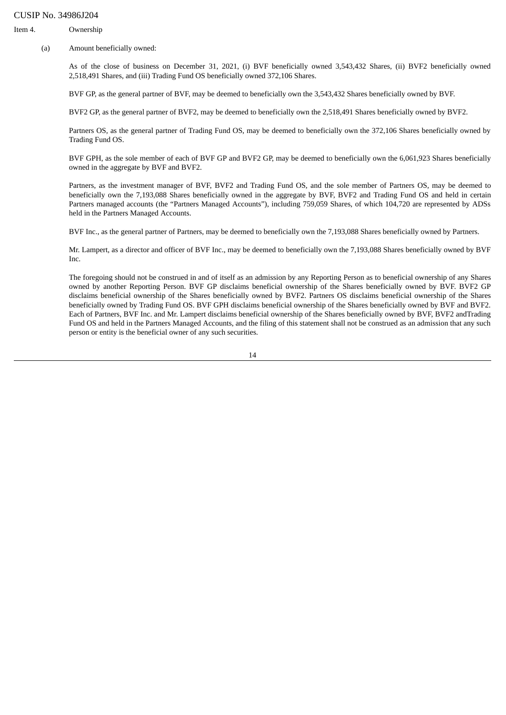Item 4. Ownership

(a) Amount beneficially owned:

As of the close of business on December 31, 2021, (i) BVF beneficially owned 3,543,432 Shares, (ii) BVF2 beneficially owned 2,518,491 Shares, and (iii) Trading Fund OS beneficially owned 372,106 Shares.

BVF GP, as the general partner of BVF, may be deemed to beneficially own the 3,543,432 Shares beneficially owned by BVF.

BVF2 GP, as the general partner of BVF2, may be deemed to beneficially own the 2,518,491 Shares beneficially owned by BVF2.

Partners OS, as the general partner of Trading Fund OS, may be deemed to beneficially own the 372,106 Shares beneficially owned by Trading Fund OS.

BVF GPH, as the sole member of each of BVF GP and BVF2 GP, may be deemed to beneficially own the 6,061,923 Shares beneficially owned in the aggregate by BVF and BVF2.

Partners, as the investment manager of BVF, BVF2 and Trading Fund OS, and the sole member of Partners OS, may be deemed to beneficially own the 7,193,088 Shares beneficially owned in the aggregate by BVF, BVF2 and Trading Fund OS and held in certain Partners managed accounts (the "Partners Managed Accounts"), including 759,059 Shares, of which 104,720 are represented by ADSs held in the Partners Managed Accounts.

BVF Inc., as the general partner of Partners, may be deemed to beneficially own the 7,193,088 Shares beneficially owned by Partners.

Mr. Lampert, as a director and officer of BVF Inc., may be deemed to beneficially own the 7,193,088 Shares beneficially owned by BVF Inc.

The foregoing should not be construed in and of itself as an admission by any Reporting Person as to beneficial ownership of any Shares owned by another Reporting Person. BVF GP disclaims beneficial ownership of the Shares beneficially owned by BVF. BVF2 GP disclaims beneficial ownership of the Shares beneficially owned by BVF2. Partners OS disclaims beneficial ownership of the Shares beneficially owned by Trading Fund OS. BVF GPH disclaims beneficial ownership of the Shares beneficially owned by BVF and BVF2. Each of Partners, BVF Inc. and Mr. Lampert disclaims beneficial ownership of the Shares beneficially owned by BVF, BVF2 andTrading Fund OS and held in the Partners Managed Accounts, and the filing of this statement shall not be construed as an admission that any such person or entity is the beneficial owner of any such securities.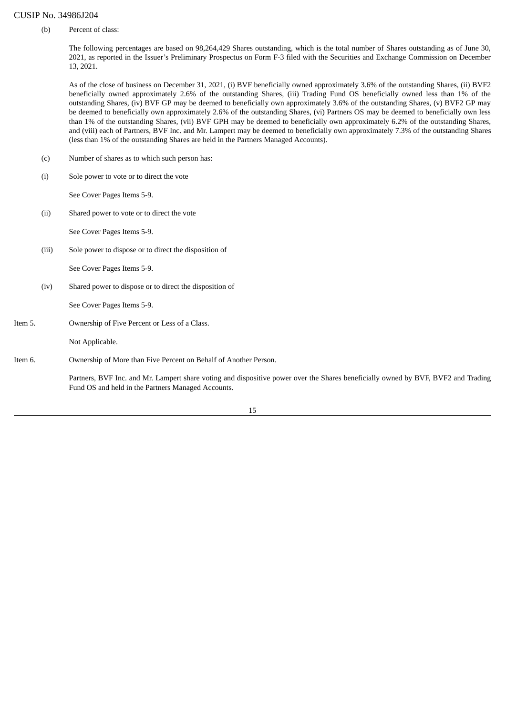(b) Percent of class:

The following percentages are based on 98,264,429 Shares outstanding, which is the total number of Shares outstanding as of June 30, 2021, as reported in the Issuer's Preliminary Prospectus on Form F-3 filed with the Securities and Exchange Commission on December 13, 2021.

As of the close of business on December 31, 2021, (i) BVF beneficially owned approximately 3.6% of the outstanding Shares, (ii) BVF2 beneficially owned approximately 2.6% of the outstanding Shares, (iii) Trading Fund OS beneficially owned less than 1% of the outstanding Shares, (iv) BVF GP may be deemed to beneficially own approximately 3.6% of the outstanding Shares, (v) BVF2 GP may be deemed to beneficially own approximately 2.6% of the outstanding Shares, (vi) Partners OS may be deemed to beneficially own less than 1% of the outstanding Shares, (vii) BVF GPH may be deemed to beneficially own approximately 6.2% of the outstanding Shares, and (viii) each of Partners, BVF Inc. and Mr. Lampert may be deemed to beneficially own approximately 7.3% of the outstanding Shares (less than 1% of the outstanding Shares are held in the Partners Managed Accounts).

- (c) Number of shares as to which such person has:
- (i) Sole power to vote or to direct the vote

See Cover Pages Items 5-9.

(ii) Shared power to vote or to direct the vote

See Cover Pages Items 5-9.

(iii) Sole power to dispose or to direct the disposition of

See Cover Pages Items 5-9.

(iv) Shared power to dispose or to direct the disposition of

See Cover Pages Items 5-9.

Item 5. Ownership of Five Percent or Less of a Class.

Not Applicable.

Item 6. Ownership of More than Five Percent on Behalf of Another Person.

Partners, BVF Inc. and Mr. Lampert share voting and dispositive power over the Shares beneficially owned by BVF, BVF2 and Trading Fund OS and held in the Partners Managed Accounts.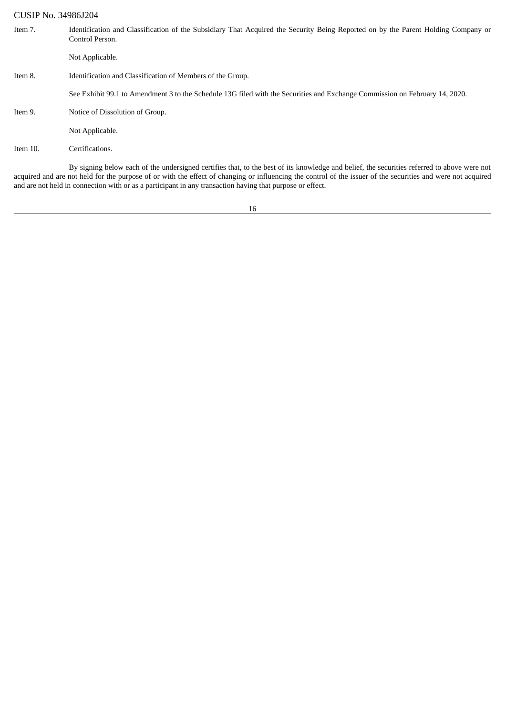| <b>CUSIP No. 34986J204</b> |                                                                                                                                                                                                                                                                                                             |
|----------------------------|-------------------------------------------------------------------------------------------------------------------------------------------------------------------------------------------------------------------------------------------------------------------------------------------------------------|
| Item 7.                    | Identification and Classification of the Subsidiary That Acquired the Security Being Reported on by the Parent Holding Company or<br>Control Person.                                                                                                                                                        |
|                            | Not Applicable.                                                                                                                                                                                                                                                                                             |
| Item 8.                    | Identification and Classification of Members of the Group.                                                                                                                                                                                                                                                  |
|                            | See Exhibit 99.1 to Amendment 3 to the Schedule 13G filed with the Securities and Exchange Commission on February 14, 2020.                                                                                                                                                                                 |
| Item 9.                    | Notice of Dissolution of Group.                                                                                                                                                                                                                                                                             |
|                            | Not Applicable.                                                                                                                                                                                                                                                                                             |
| Item 10.                   | Certifications.                                                                                                                                                                                                                                                                                             |
|                            | By signing below each of the undersigned certifies that, to the best of its knowledge and belief, the securities referred to above were not<br>acquired and are not held for the purpose of or with the effect of changing or influencing the control of the issuer of the securities and were not acquired |

16

and are not held in connection with or as a participant in any transaction having that purpose or effect.